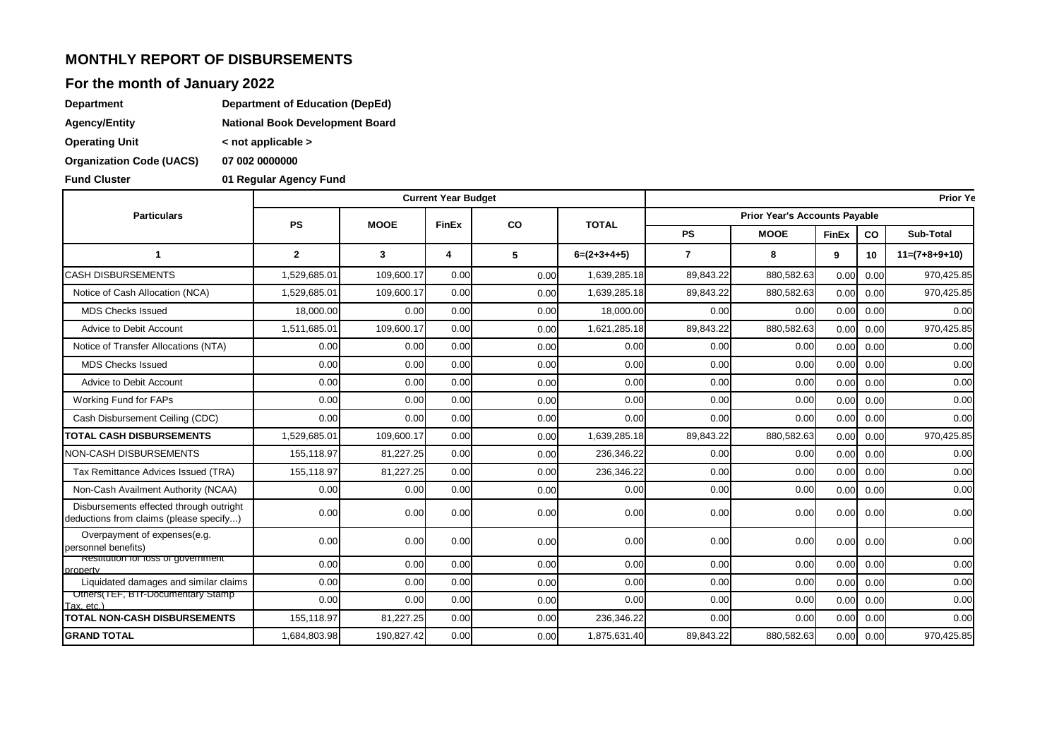### **MONTHLY REPORT OF DISBURSEMENTS**

#### **For the month of January 2022**

| Department | <b>Department of Education (DepEd)</b> |
|------------|----------------------------------------|
|            |                                        |

| Agency/Entity | <b>National Book Development Board</b> |
|---------------|----------------------------------------|
|               |                                        |

**Operating Unit < not applicable >**

**Organization Code (UACS) 07 002 0000000**

**01 Regular Agency Fund** 

|                                                                                    |              |             | <b>Current Year Budget</b> |           | <b>Prior Ye</b> |                                      |             |              |                   |                 |  |
|------------------------------------------------------------------------------------|--------------|-------------|----------------------------|-----------|-----------------|--------------------------------------|-------------|--------------|-------------------|-----------------|--|
| <b>Particulars</b>                                                                 | <b>PS</b>    | <b>MOOE</b> | <b>FinEx</b>               | <b>CO</b> | <b>TOTAL</b>    | <b>Prior Year's Accounts Pavable</b> |             |              |                   |                 |  |
|                                                                                    |              |             |                            |           |                 | <b>PS</b>                            | <b>MOOE</b> | <b>FinEx</b> | co                | Sub-Total       |  |
| 1                                                                                  | $\mathbf{2}$ | 3           | 4                          | 5         | $6=(2+3+4+5)$   | $\overline{7}$                       | 8           | 9            | 10 <sup>1</sup>   | $11=(7+8+9+10)$ |  |
| <b>CASH DISBURSEMENTS</b>                                                          | 1,529,685.01 | 109,600.17  | 0.00                       | 0.00      | 1,639,285.18    | 89.843.22                            | 880,582.63  | 0.00         | 0.00              | 970,425.85      |  |
| Notice of Cash Allocation (NCA)                                                    | 1.529.685.01 | 109,600.17  | 0.00                       | 0.00      | 1,639,285.18    | 89.843.22                            | 880,582.63  | 0.00         | 0.00              | 970,425.85      |  |
| <b>MDS Checks Issued</b>                                                           | 18.000.00    | 0.00        | 0.00                       | 0.00      | 18,000.00       | 0.00                                 | 0.00        | 0.00         | 0.00              | 0.00            |  |
| Advice to Debit Account                                                            | 1.511.685.01 | 109,600.17  | 0.00                       | 0.00      | 1,621,285.18    | 89,843.22                            | 880,582.63  | 0.00         | 0.00              | 970,425.85      |  |
| Notice of Transfer Allocations (NTA)                                               | 0.00         | 0.00        | 0.00                       | 0.00      | 0.00            | 0.00                                 | 0.00        | 0.00         | 0.00              | 0.00            |  |
| <b>MDS Checks Issued</b>                                                           | 0.00         | 0.00        | 0.00                       | 0.00      | 0.00            | 0.00                                 | 0.00        | 0.00         | 0.00              | 0.00            |  |
| Advice to Debit Account                                                            | 0.00         | 0.00        | 0.00                       | 0.00      | 0.00            | 0.00                                 | 0.00        | 0.00         | 0.00              | 0.00            |  |
| Working Fund for FAPs                                                              | 0.00         | 0.00        | 0.00                       | 0.00      | 0.00            | 0.00                                 | 0.00        | 0.00         | 0.00              | 0.00            |  |
| Cash Disbursement Ceiling (CDC)                                                    | 0.00         | 0.00        | 0.00                       | 0.00      | 0.00            | 0.00                                 | 0.00        | 0.00         | 0.00              | 0.00            |  |
| <b>TOTAL CASH DISBURSEMENTS</b>                                                    | 1,529,685.01 | 109,600.17  | 0.00                       | 0.00      | 1,639,285.18    | 89,843.22                            | 880,582.63  | 0.00         | 0.00              | 970,425.85      |  |
| <b>NON-CASH DISBURSEMENTS</b>                                                      | 155,118.97   | 81,227.25   | 0.00                       | 0.00      | 236,346.22      | 0.00                                 | 0.00        | 0.00         | 0.00              | 0.00            |  |
| Tax Remittance Advices Issued (TRA)                                                | 155,118.97   | 81,227.25   | 0.00                       | 0.00      | 236,346.22      | 0.00                                 | 0.00        | 0.00         | 0.00              | 0.00            |  |
| Non-Cash Availment Authority (NCAA)                                                | 0.00         | 0.00        | 0.00                       | 0.00      | 0.00            | 0.00                                 | 0.00        | 0.00         | 0.00              | 0.00            |  |
| Disbursements effected through outright<br>deductions from claims (please specify) | 0.00         | 0.00        | 0.00                       | 0.00      | 0.00            | 0.00                                 | 0.00        |              | $0.00 \quad 0.00$ | 0.00            |  |
| Overpayment of expenses(e.g.<br>personnel benefits)                                | 0.00         | 0.00        | 0.00                       | 0.00      | 0.00            | 0.00                                 | 0.00        | 0.00         | 0.00              | 0.00            |  |
| Restitution for loss of government<br>property                                     | 0.00         | 0.00        | 0.00                       | 0.00      | 0.00            | 0.00                                 | 0.00        | 0.00         | 0.00              | 0.00            |  |
| Liquidated damages and similar claims                                              | 0.00         | 0.00        | 0.00                       | 0.00      | 0.00            | 0.00                                 | 0.00        | 0.00         | 0.00              | 0.00            |  |
| Uthers(IEF, BIT-Documentary Stamp<br>Tax. etc.)                                    | 0.00         | 0.00        | 0.00                       | 0.00      | 0.00            | 0.00                                 | 0.00        | 0.00         | 0.00              | 0.00            |  |
| <b>TOTAL NON-CASH DISBURSEMENTS</b>                                                | 155,118.97   | 81,227.25   | 0.00                       | 0.00      | 236,346.22      | 0.00                                 | 0.00        | 0.00         | 0.00              | 0.00            |  |
| <b>GRAND TOTAL</b>                                                                 | 1,684,803.98 | 190,827.42  | 0.00                       | 0.00      | 1,875,631.40    | 89,843.22                            | 880,582.63  | 0.00         | 0.00              | 970,425.85      |  |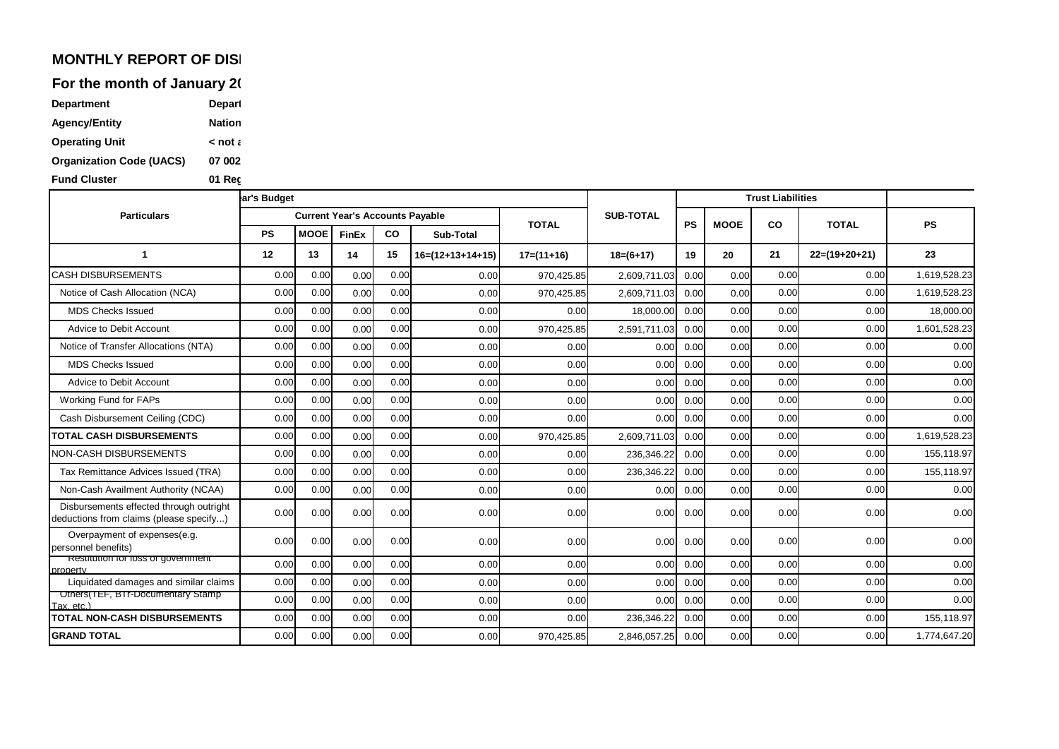## **MONTHLY REPORT OF DISI**

For the month of January 20

| <b>Department</b>               | Depart        |
|---------------------------------|---------------|
| <b>Agency/Entity</b>            | <b>Nation</b> |
| <b>Operating Unit</b>           | ء not ح       |
| <b>Organization Code (UACS)</b> | 07 002        |
| <b>Fund Cluster</b>             | 01 Rec        |

|                                                                                    | ar's Budget |             |                                        |           |                    |              |                  | <b>Trust Liabilities</b> |             |      |                 |                           |
|------------------------------------------------------------------------------------|-------------|-------------|----------------------------------------|-----------|--------------------|--------------|------------------|--------------------------|-------------|------|-----------------|---------------------------|
| <b>Particulars</b>                                                                 |             |             | <b>Current Year's Accounts Payable</b> |           |                    | <b>TOTAL</b> | <b>SUB-TOTAL</b> | <b>PS</b>                | <b>MOOE</b> |      |                 | <b>PS</b><br><b>TOTAL</b> |
|                                                                                    | <b>PS</b>   | <b>MOOE</b> | FinEx                                  | <b>CO</b> | Sub-Total          |              |                  |                          |             | CO   |                 |                           |
|                                                                                    | 12          | 13          | 14                                     | 15        | $16=(12+13+14+15)$ | $17=(11+16)$ | $18=(6+17)$      | 19                       | 20          | 21   | $22=(19+20+21)$ | 23                        |
| <b>CASH DISBURSEMENTS</b>                                                          | 0.00        | 0.00        | 0.00                                   | 0.00      | 0.00               | 970,425.85   | 2,609,711.03     | 0.00                     | 0.00        | 0.00 | 0.00            | 1,619,528.23              |
| Notice of Cash Allocation (NCA)                                                    | 0.00        | 0.00        | 0.00                                   | 0.00      | 0.00               | 970,425.85   | 2,609,711.03     | 0.00                     | 0.00        | 0.00 | 0.00            | 1,619,528.23              |
| <b>MDS Checks Issued</b>                                                           | 0.00        | 0.00        | 0.00                                   | 0.00      | 0.00               | 0.00         | 18,000.00        | 0.00                     | 0.00        | 0.00 | 0.00            | 18,000.00                 |
| Advice to Debit Account                                                            | 0.00        | 0.00        | 0.00                                   | 0.00      | 0.00               | 970,425.85   | 2,591,711.03     | 0.00                     | 0.00        | 0.00 | 0.00            | 1,601,528.23              |
| Notice of Transfer Allocations (NTA)                                               | 0.00        | 0.00        | 0.00                                   | 0.00      | 0.00               | 0.00         | 0.00             | 0.00                     | 0.00        | 0.00 | 0.00            | 0.00                      |
| <b>MDS Checks Issued</b>                                                           | 0.00        | 0.00        | 0.00                                   | 0.00      | 0.00               | 0.00         | 0.00             | 0.00                     | 0.00        | 0.00 | 0.00            | 0.00                      |
| Advice to Debit Account                                                            | 0.00        | 0.00        | 0.00                                   | 0.00      | 0.00               | 0.00         | 0.00             | 0.00                     | 0.00        | 0.00 | 0.00            | 0.00                      |
| Working Fund for FAPs                                                              | 0.00        | 0.00        | 0.00                                   | 0.00      | 0.00               | 0.00         | 0.00             | 0.00                     | 0.00        | 0.00 | 0.00            | 0.00                      |
| Cash Disbursement Ceiling (CDC)                                                    | 0.00        | 0.00        | 0.00                                   | 0.00      | 0.00               | 0.00         | 0.00             | 0.00                     | 0.00        | 0.00 | 0.00            | 0.00                      |
| <b>TOTAL CASH DISBURSEMENTS</b>                                                    | 0.00        | 0.00        | 0.00                                   | 0.00      | 0.00               | 970,425.85   | 2,609,711.03     | 0.00                     | 0.00        | 0.00 | 0.00            | 1,619,528.23              |
| NON-CASH DISBURSEMENTS                                                             | 0.00        | 0.00        | 0.00                                   | 0.00      | 0.00               | 0.00         | 236,346.22       | 0.00                     | 0.00        | 0.00 | 0.00            | 155,118.97                |
| Tax Remittance Advices Issued (TRA)                                                | 0.00        | 0.00        | 0.00                                   | 0.00      | 0.00               | 0.00         | 236,346.22       | 0.00                     | 0.00        | 0.00 | 0.00            | 155,118.97                |
| Non-Cash Availment Authority (NCAA)                                                | 0.00        | 0.00        | 0.00                                   | 0.00      | 0.00               | 0.00         | 0.00             | 0.00                     | 0.00        | 0.00 | 0.00            | 0.00                      |
| Disbursements effected through outright<br>deductions from claims (please specify) | 0.00        | 0.00        | 0.00                                   | 0.00      | 0.00               | 0.00         | 0.00             | 0.00                     | 0.00        | 0.00 | 0.00            | 0.00                      |
| Overpayment of expenses(e.g.<br>personnel benefits)                                | 0.00        | 0.00        | 0.00                                   | 0.00      | 0.00               | 0.00         | 0.00             | 0.00                     | 0.00        | 0.00 | 0.00            | 0.00                      |
| Restitution for loss or government<br>property                                     | 0.00        | 0.00        | 0.00                                   | 0.00      | 0.00               | 0.00         | 0.00             | 0.00                     | 0.00        | 0.00 | 0.00            | 0.00                      |
| Liquidated damages and similar claims                                              | 0.00        | 0.00        | 0.00                                   | 0.00      | 0.00               | 0.00         | 0.00             | 0.00                     | 0.00        | 0.00 | 0.00            | 0.00                      |
| Others(TEF, BIT-Documentary Stamp<br>Tax. etc.)                                    | 0.00        | 0.00        | 0.00                                   | 0.00      | 0.00               | 0.00         | 0.00             | 0.00                     | 0.00        | 0.00 | 0.00            | 0.00                      |
| <b>TOTAL NON-CASH DISBURSEMENTS</b>                                                | 0.00        | 0.00        | 0.00                                   | 0.00      | 0.00               | 0.00         | 236,346.22       | 0.00                     | 0.00        | 0.00 | 0.00            | 155,118.97                |
| <b>GRAND TOTAL</b>                                                                 | 0.00        | 0.00        | 0.00                                   | 0.00      | 0.00               | 970.425.85   | 2,846,057.25     | 0.00                     | 0.00        | 0.00 | 0.00            | 1,774,647.20              |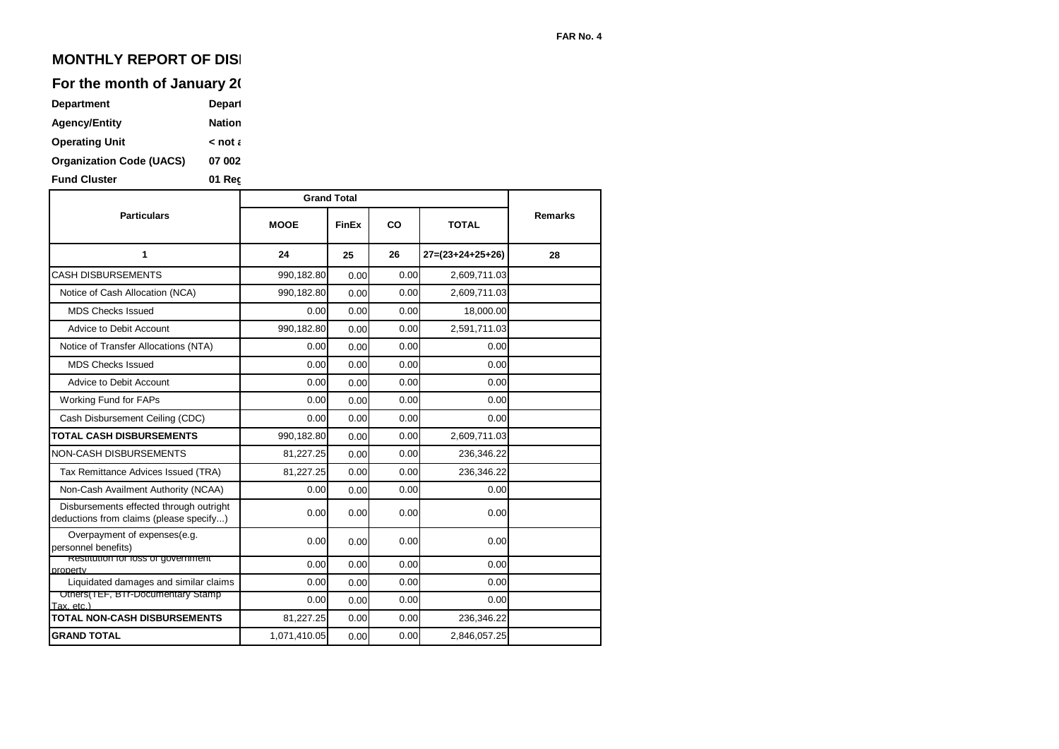# **MONTHLY REPORT OF DISI**

## For the month of January 20

| <b>Department</b>               | Depart        |
|---------------------------------|---------------|
| <b>Agency/Entity</b>            | <b>Nation</b> |
| <b>Operating Unit</b>           | ء not ح       |
| <b>Organization Code (UACS)</b> | 07 002        |
| <b>Fund Cluster</b>             | 01 Rec        |

|                                                                                    | <b>Grand Total</b> |              |      |                    |                |  |
|------------------------------------------------------------------------------------|--------------------|--------------|------|--------------------|----------------|--|
| <b>Particulars</b>                                                                 | <b>MOOE</b>        | <b>FinEx</b> | CO   | <b>TOTAL</b>       | <b>Remarks</b> |  |
| 1                                                                                  | 24                 | 25           | 26   | $27=(23+24+25+26)$ | 28             |  |
| <b>CASH DISBURSEMENTS</b>                                                          | 990,182.80         | 0.00         | 0.00 | 2,609,711.03       |                |  |
| Notice of Cash Allocation (NCA)                                                    | 990,182.80         | 0.00         | 0.00 | 2,609,711.03       |                |  |
| <b>MDS Checks Issued</b>                                                           | 0.00               | 0.00         | 0.00 | 18,000.00          |                |  |
| Advice to Debit Account                                                            | 990,182.80         | 0.00         | 0.00 | 2,591,711.03       |                |  |
| Notice of Transfer Allocations (NTA)                                               | 0.00               | 0.00         | 0.00 | 0.00               |                |  |
| <b>MDS Checks Issued</b>                                                           | 0.00               | 0.00         | 0.00 | 0.00               |                |  |
| Advice to Debit Account                                                            | 0.00               | 0.00         | 0.00 | 0.00               |                |  |
| Working Fund for FAPs                                                              | 0.00               | 0.00         | 0.00 | 0.00               |                |  |
| Cash Disbursement Ceiling (CDC)                                                    | 0.00               | 0.00         | 0.00 | 0.00               |                |  |
| <b>TOTAL CASH DISBURSEMENTS</b>                                                    | 990,182.80         | 0.00         | 0.00 | 2,609,711.03       |                |  |
| <b>NON-CASH DISBURSEMENTS</b>                                                      | 81,227.25          | 0.00         | 0.00 | 236,346.22         |                |  |
| Tax Remittance Advices Issued (TRA)                                                | 81,227.25          | 0.00         | 0.00 | 236,346.22         |                |  |
| Non-Cash Availment Authority (NCAA)                                                | 0.00               | 0.00         | 0.00 | 0.00               |                |  |
| Disbursements effected through outright<br>deductions from claims (please specify) | 0.00               | 0.00         | 0.00 | 0.00               |                |  |
| Overpayment of expenses(e.g.<br>personnel benefits)                                | 0.00               | 0.00         | 0.00 | 0.00               |                |  |
| Restitution for loss or government<br>property                                     | 0.00               | 0.00         | 0.00 | 0.00               |                |  |
| Liquidated damages and similar claims                                              | 0.00               | 0.00         | 0.00 | 0.00               |                |  |
| Others(TEF, BTI-Documentary Stamp<br>Tax. etc.)                                    | 0.00               | 0.00         | 0.00 | 0.00               |                |  |
| <b>TOTAL NON-CASH DISBURSEMENTS</b>                                                | 81,227.25          | 0.00         | 0.00 | 236,346.22         |                |  |
| <b>GRAND TOTAL</b>                                                                 | 1,071,410.05       | 0.00         | 0.00 | 2,846,057.25       |                |  |